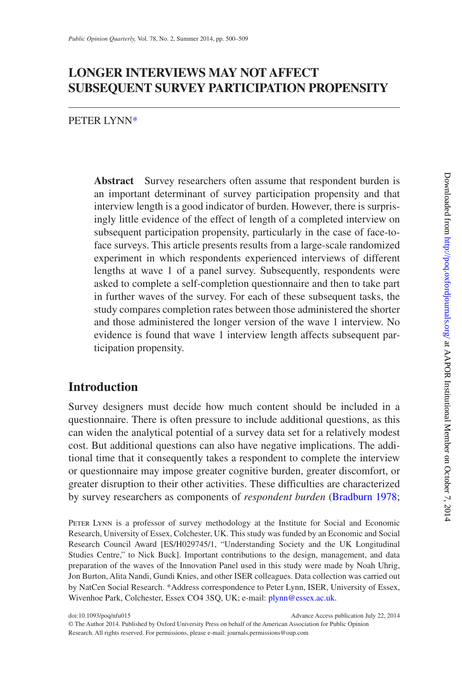# **LONGER INTERVIEWS MAY NOT AFFECT SUBSEQUENT SURVEY PARTICIPATION PROPENSITY**

PETER LYNN[\\*](#page-0-0)

**Abstract** Survey researchers often assume that respondent burden is an important determinant of survey participation propensity and that interview length is a good indicator of burden. However, there is surprisingly little evidence of the effect of length of a completed interview on subsequent participation propensity, particularly in the case of face-toface surveys. This article presents results from a large-scale randomized experiment in which respondents experienced interviews of different lengths at wave 1 of a panel survey. Subsequently, respondents were asked to complete a self-completion questionnaire and then to take part in further waves of the survey. For each of these subsequent tasks, the study compares completion rates between those administered the shorter and those administered the longer version of the wave 1 interview. No evidence is found that wave 1 interview length affects subsequent participation propensity.

# **Introduction**

Survey designers must decide how much content should be included in a questionnaire. There is often pressure to include additional questions, as this can widen the analytical potential of a survey data set for a relatively modest cost. But additional questions can also have negative implications. The additional time that it consequently takes a respondent to complete the interview or questionnaire may impose greater cognitive burden, greater discomfort, or greater disruption to their other activities. These difficulties are characterized by survey researchers as components of *respondent burden* ([Bradburn 1978](#page-8-0);

PETER LYNN is a professor of survey methodology at the Institute for Social and Economic Research, University of Essex, Colchester, UK. This study was funded by an Economic and Social Research Council Award [ES/H029745/1, "Understanding Society and the UK Longitudinal Studies Centre," to Nick Buck]. Important contributions to the design, management, and data preparation of the waves of the Innovation Panel used in this study were made by Noah Uhrig, Jon Burton, Alita Nandi, Gundi Knies, and other ISER colleagues. Data collection was carried out by NatCen Social Research. \*Address correspondence to Peter Lynn, ISER, University of Essex, Wivenhoe Park, Colchester, Essex CO4 3SQ, UK; e-mail: [plynn@essex.ac.uk.](mailto:plynn@essex.ac.uk?subject=)

<span id="page-0-0"></span>doi:10.1093/poq/nfu015 Advance Access publication July 22, 2014

© The Author 2014. Published by Oxford University Press on behalf of the American Association for Public Opinion Research. All rights reserved. For permissions, please e-mail: journals.permissions@oup.com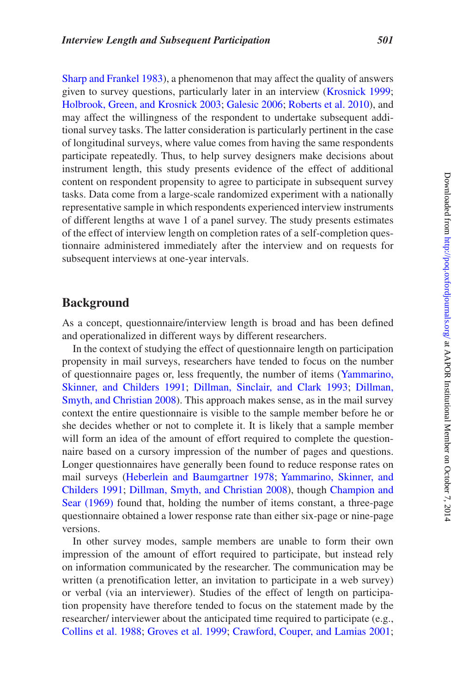[Sharp and Frankel 1983](#page-9-0)), a phenomenon that may affect the quality of answers given to survey questions, particularly later in an interview [\(Krosnick 1999](#page-9-1); [Holbrook, Green, and Krosnick 2003;](#page-9-2) [Galesic 2006;](#page-9-3) [Roberts et al. 2010](#page-9-4)), and may affect the willingness of the respondent to undertake subsequent additional survey tasks. The latter consideration is particularly pertinent in the case of longitudinal surveys, where value comes from having the same respondents participate repeatedly. Thus, to help survey designers make decisions about instrument length, this study presents evidence of the effect of additional content on respondent propensity to agree to participate in subsequent survey tasks. Data come from a large-scale randomized experiment with a nationally representative sample in which respondents experienced interview instruments of different lengths at wave 1 of a panel survey. The study presents estimates of the effect of interview length on completion rates of a self-completion questionnaire administered immediately after the interview and on requests for subsequent interviews at one-year intervals.

## **Background**

As a concept, questionnaire/interview length is broad and has been defined and operationalized in different ways by different researchers.

In the context of studying the effect of questionnaire length on participation propensity in mail surveys, researchers have tended to focus on the number of questionnaire pages or, less frequently, the number of items ([Yammarino,](#page-9-5) [Skinner, and Childers 1991;](#page-9-5) [Dillman, Sinclair, and Clark 1993](#page-8-1); [Dillman,](#page-8-2) [Smyth, and Christian 2008\)](#page-8-2). This approach makes sense, as in the mail survey context the entire questionnaire is visible to the sample member before he or she decides whether or not to complete it. It is likely that a sample member will form an idea of the amount of effort required to complete the questionnaire based on a cursory impression of the number of pages and questions. Longer questionnaires have generally been found to reduce response rates on mail surveys ([Heberlein and Baumgartner 1978;](#page-9-6) [Yammarino, Skinner, and](#page-9-5) [Childers 1991](#page-9-5); [Dillman, Smyth, and Christian 2008\)](#page-8-2), though [Champion and](#page-8-3) [Sear \(1969\)](#page-8-3) found that, holding the number of items constant, a three-page questionnaire obtained a lower response rate than either six-page or nine-page versions.

In other survey modes, sample members are unable to form their own impression of the amount of effort required to participate, but instead rely on information communicated by the researcher. The communication may be written (a prenotification letter, an invitation to participate in a web survey) or verbal (via an interviewer). Studies of the effect of length on participation propensity have therefore tended to focus on the statement made by the researcher/ interviewer about the anticipated time required to participate (e.g., [Collins et al. 1988](#page-8-4); [Groves et al. 1999](#page-9-7); [Crawford, Couper, and Lamias 2001](#page-8-5);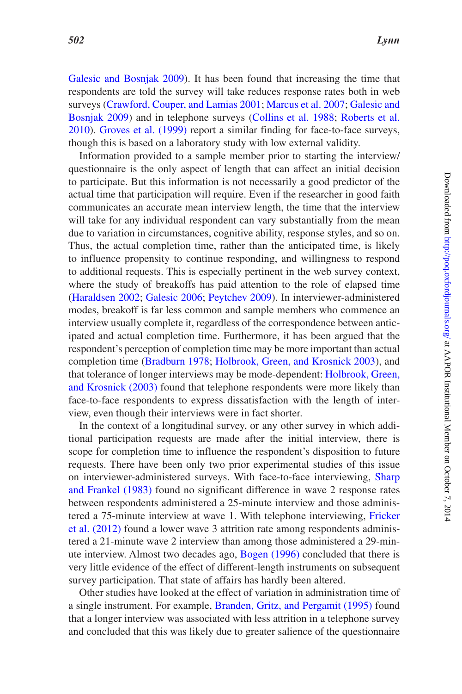[Galesic and Bosnjak 2009](#page-9-8)). It has been found that increasing the time that respondents are told the survey will take reduces response rates both in web surveys ([Crawford, Couper, and Lamias 2001](#page-8-5); [Marcus et al. 2007;](#page-9-9) [Galesic and](#page-9-8) [Bosnjak 2009](#page-9-8)) and in telephone surveys [\(Collins et al. 1988;](#page-8-4) [Roberts et al.](#page-9-4)  [2010](#page-9-4)). [Groves et al. \(1999\)](#page-9-7) report a similar finding for face-to-face surveys, though this is based on a laboratory study with low external validity.

Information provided to a sample member prior to starting the interview/ questionnaire is the only aspect of length that can affect an initial decision to participate. But this information is not necessarily a good predictor of the actual time that participation will require. Even if the researcher in good faith communicates an accurate mean interview length, the time that the interview will take for any individual respondent can vary substantially from the mean due to variation in circumstances, cognitive ability, response styles, and so on. Thus, the actual completion time, rather than the anticipated time, is likely to influence propensity to continue responding, and willingness to respond to additional requests. This is especially pertinent in the web survey context, where the study of breakoffs has paid attention to the role of elapsed time [\(Haraldsen 2002;](#page-9-10) [Galesic 2006](#page-9-3); [Peytchev 2009](#page-9-11)). In interviewer-administered modes, breakoff is far less common and sample members who commence an interview usually complete it, regardless of the correspondence between anticipated and actual completion time. Furthermore, it has been argued that the respondent's perception of completion time may be more important than actual completion time ([Bradburn 1978;](#page-8-0) [Holbrook, Green, and Krosnick 2003](#page-9-2)), and that tolerance of longer interviews may be mode-dependent: [Holbrook, Green,](#page-9-2) [and Krosnick \(2003\)](#page-9-2) found that telephone respondents were more likely than face-to-face respondents to express dissatisfaction with the length of interview, even though their interviews were in fact shorter.

In the context of a longitudinal survey, or any other survey in which additional participation requests are made after the initial interview, there is scope for completion time to influence the respondent's disposition to future requests. There have been only two prior experimental studies of this issue on interviewer-administered surveys. With face-to-face interviewing, [Sharp](#page-9-0)  [and Frankel \(1983\)](#page-9-0) found no significant difference in wave 2 response rates between respondents administered a 25-minute interview and those administered a 75-minute interview at wave 1. With telephone interviewing, [Fricker](#page-8-6) [et al. \(2012\)](#page-8-6) found a lower wave 3 attrition rate among respondents administered a 21-minute wave 2 interview than among those administered a 29-minute interview. Almost two decades ago, [Bogen \(1996\)](#page-8-7) concluded that there is very little evidence of the effect of different-length instruments on subsequent survey participation. That state of affairs has hardly been altered.

Other studies have looked at the effect of variation in administration time of a single instrument. For example, [Branden, Gritz, and Pergamit \(1995\)](#page-8-8) found that a longer interview was associated with less attrition in a telephone survey and concluded that this was likely due to greater salience of the questionnaire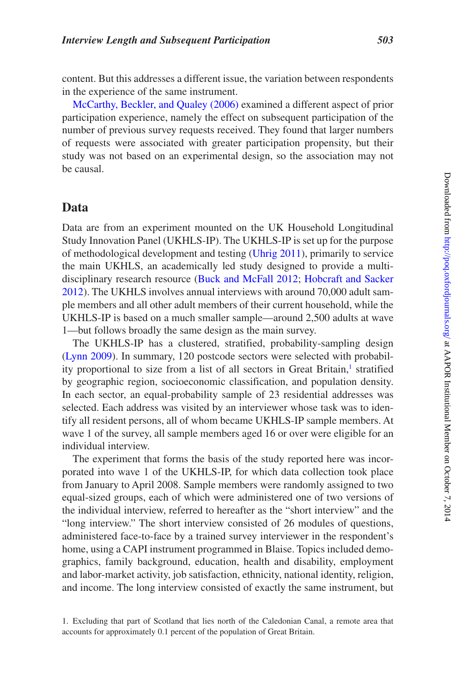content. But this addresses a different issue, the variation between respondents in the experience of the same instrument.

[McCarthy, Beckler, and Qualey \(2006\)](#page-9-12) examined a different aspect of prior participation experience, namely the effect on subsequent participation of the number of previous survey requests received. They found that larger numbers of requests were associated with greater participation propensity, but their study was not based on an experimental design, so the association may not be causal.

#### **Data**

Data are from an experiment mounted on the UK Household Longitudinal Study Innovation Panel (UKHLS-IP). The UKHLS-IP is set up for the purpose of methodological development and testing [\(Uhrig 2011\)](#page-9-13), primarily to service the main UKHLS, an academically led study designed to provide a multidisciplinary research resource [\(Buck and McFall 2012;](#page-8-9) [Hobcraft and Sacker](#page-9-14)  [2012](#page-9-14)). The UKHLS involves annual interviews with around 70,000 adult sample members and all other adult members of their current household, while the UKHLS-IP is based on a much smaller sample—around 2,500 adults at wave 1—but follows broadly the same design as the main survey.

The UKHLS-IP has a clustered, stratified, probability-sampling design [\(Lynn 2009\)](#page-9-15). In summary, 120 postcode sectors were selected with probability proportional to size from a list of all sectors in Great Britain,<sup>1</sup> stratified by geographic region, socioeconomic classification, and population density. In each sector, an equal-probability sample of 23 residential addresses was selected. Each address was visited by an interviewer whose task was to identify all resident persons, all of whom became UKHLS-IP sample members. At wave 1 of the survey, all sample members aged 16 or over were eligible for an individual interview.

The experiment that forms the basis of the study reported here was incorporated into wave 1 of the UKHLS-IP, for which data collection took place from January to April 2008. Sample members were randomly assigned to two equal-sized groups, each of which were administered one of two versions of the individual interview, referred to hereafter as the "short interview" and the "long interview." The short interview consisted of 26 modules of questions, administered face-to-face by a trained survey interviewer in the respondent's home, using a CAPI instrument programmed in Blaise. Topics included demographics, family background, education, health and disability, employment and labor-market activity, job satisfaction, ethnicity, national identity, religion, and income. The long interview consisted of exactly the same instrument, but

<span id="page-3-0"></span><sup>1.</sup> Excluding that part of Scotland that lies north of the Caledonian Canal, a remote area that accounts for approximately 0.1 percent of the population of Great Britain.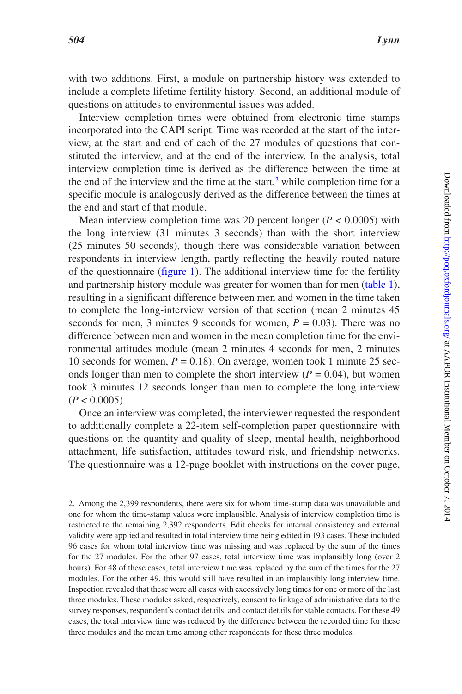with two additions. First, a module on partnership history was extended to include a complete lifetime fertility history. Second, an additional module of questions on attitudes to environmental issues was added.

Interview completion times were obtained from electronic time stamps incorporated into the CAPI script. Time was recorded at the start of the interview, at the start and end of each of the 27 modules of questions that constituted the interview, and at the end of the interview. In the analysis, total interview completion time is derived as the difference between the time at the end of the interview and the time at the start, $2$  while completion time for a specific module is analogously derived as the difference between the times at the end and start of that module.

Mean interview completion time was 20 percent longer ( $P < 0.0005$ ) with the long interview (31 minutes 3 seconds) than with the short interview (25 minutes 50 seconds), though there was considerable variation between respondents in interview length, partly reflecting the heavily routed nature of the questionnaire ([figure 1\)](#page-5-0). The additional interview time for the fertility and partnership history module was greater for women than for men [\(table 1](#page-5-1)), resulting in a significant difference between men and women in the time taken to complete the long-interview version of that section (mean 2 minutes 45 seconds for men, 3 minutes 9 seconds for women,  $P = 0.03$ ). There was no difference between men and women in the mean completion time for the environmental attitudes module (mean 2 minutes 4 seconds for men, 2 minutes 10 seconds for women,  $P = 0.18$ ). On average, women took 1 minute 25 seconds longer than men to complete the short interview  $(P = 0.04)$ , but women took 3 minutes 12 seconds longer than men to complete the long interview  $(P < 0.0005)$ .

Once an interview was completed, the interviewer requested the respondent to additionally complete a 22-item self-completion paper questionnaire with questions on the quantity and quality of sleep, mental health, neighborhood attachment, life satisfaction, attitudes toward risk, and friendship networks. The questionnaire was a 12-page booklet with instructions on the cover page,

<span id="page-4-0"></span>2. Among the 2,399 respondents, there were six for whom time-stamp data was unavailable and one for whom the time-stamp values were implausible. Analysis of interview completion time is restricted to the remaining 2,392 respondents. Edit checks for internal consistency and external validity were applied and resulted in total interview time being edited in 193 cases. These included 96 cases for whom total interview time was missing and was replaced by the sum of the times for the 27 modules. For the other 97 cases, total interview time was implausibly long (over 2 hours). For 48 of these cases, total interview time was replaced by the sum of the times for the 27 modules. For the other 49, this would still have resulted in an implausibly long interview time. Inspection revealed that these were all cases with excessively long times for one or more of the last three modules. These modules asked, respectively, consent to linkage of administrative data to the survey responses, respondent's contact details, and contact details for stable contacts. For these 49 cases, the total interview time was reduced by the difference between the recorded time for these three modules and the mean time among other respondents for these three modules.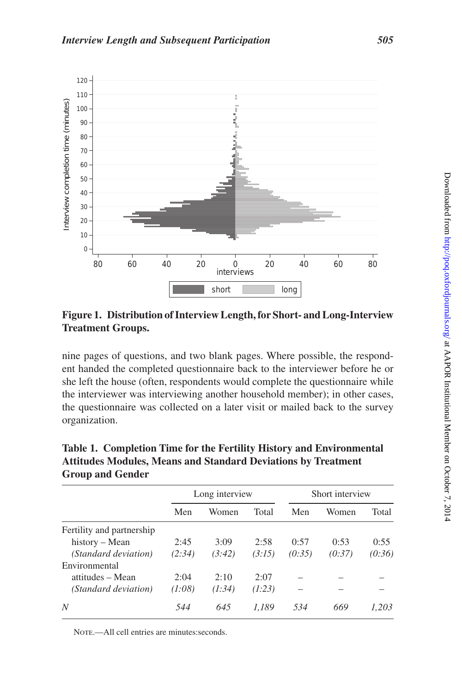

<span id="page-5-0"></span>**Figure 1. Distribution of Interview Length, for Short- and Long-Interview Treatment Groups.**

nine pages of questions, and two blank pages. Where possible, the respondent handed the completed questionnaire back to the interviewer before he or she left the house (often, respondents would complete the questionnaire while the interviewer was interviewing another household member); in other cases, the questionnaire was collected on a later visit or mailed back to the survey organization.

|                           | Long interview |        |        | Short interview |        |        |  |
|---------------------------|----------------|--------|--------|-----------------|--------|--------|--|
|                           | Men            | Women  | Total  | Men             | Women  | Total  |  |
| Fertility and partnership |                |        |        |                 |        |        |  |
| history – Mean            | 2:45           | 3:09   | 2:58   | 0:57            | 0:53   | 0:55   |  |
| (Standard deviation)      | (2:34)         | (3:42) | (3:15) | (0:35)          | (0:37) | (0:36) |  |
| Environmental             |                |        |        |                 |        |        |  |
| attitudes – Mean          | 2:04           | 2:10   | 2:07   |                 |        |        |  |
| (Standard deviation)      | (1:08)         | (1:34) | (1:23) |                 |        |        |  |
| N                         | 544            | 645    | 1.189  | 534             | 669    | 1.203  |  |

<span id="page-5-1"></span>**Table 1. Completion Time for the Fertility History and Environmental Attitudes Modules, Means and Standard Deviations by Treatment Group and Gender**

NOTE.—All cell entries are minutes: seconds.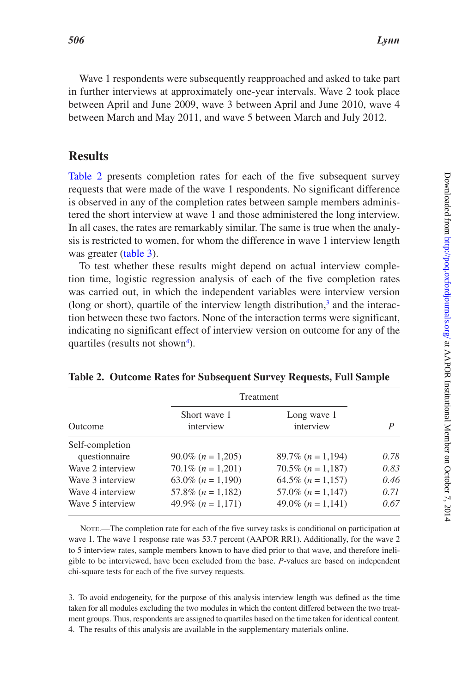Wave 1 respondents were subsequently reapproached and asked to take part in further interviews at approximately one-year intervals. Wave 2 took place between April and June 2009, wave 3 between April and June 2010, wave 4 between March and May 2011, and wave 5 between March and July 2012.

## **Results**

Table 2 presents completion rates for each of the five subsequent survey requests that were made of the wave 1 respondents. No significant difference is observed in any of the completion rates between sample members administered the short interview at wave 1 and those administered the long interview. In all cases, the rates are remarkably similar. The same is true when the analysis is restricted to women, for whom the difference in wave 1 interview length was greater ([table 3](#page-7-0)).

To test whether these results might depend on actual interview completion time, logistic regression analysis of each of the five completion rates was carried out, in which the independent variables were interview version (long or short), quartile of the interview length distribution, $<sup>3</sup>$  $<sup>3</sup>$  $<sup>3</sup>$  and the interac-</sup> tion between these two factors. None of the interaction terms were significant, indicating no significant effect of interview version on outcome for any of the quartiles (results not shown<sup>4</sup>).

|                                  | <b>Treatment</b>          |                          |      |
|----------------------------------|---------------------------|--------------------------|------|
| Outcome                          | Short wave 1<br>interview | Long wave 1<br>interview | P    |
| Self-completion<br>questionnaire | $90.0\%$ (n = 1,205)      | $89.7\%$ (n = 1,194)     | 0.78 |
| Wave 2 interview                 | $70.1\%$ $(n = 1,201)$    | $70.5\%$ (n = 1,187)     | 0.83 |
| Wave 3 interview                 | 63.0\% $(n = 1,190)$      | $64.5\%$ (n = 1,157)     | 0.46 |
| Wave 4 interview                 | 57.8% $(n = 1,182)$       | $57.0\%$ ( $n = 1,147$ ) | 0.71 |
| Wave 5 interview                 | 49.9% $(n = 1,171)$       | 49.0% $(n = 1,141)$      | 0.67 |

<span id="page-6-0"></span>**Table 2. Outcome Rates for Subsequent Survey Requests, Full Sample**

Note.—The completion rate for each of the five survey tasks is conditional on participation at wave 1. The wave 1 response rate was 53.7 percent (AAPOR RR1). Additionally, for the wave 2 to 5 interview rates, sample members known to have died prior to that wave, and therefore ineligible to be interviewed, have been excluded from the base. *P*-values are based on independent chi-square tests for each of the five survey requests.

<span id="page-6-2"></span><span id="page-6-1"></span>3. To avoid endogeneity, for the purpose of this analysis interview length was defined as the time taken for all modules excluding the two modules in which the content differed between the two treatment groups. Thus, respondents are assigned to quartiles based on the time taken for identical content. 4. The results of this analysis are available in the supplementary materials online.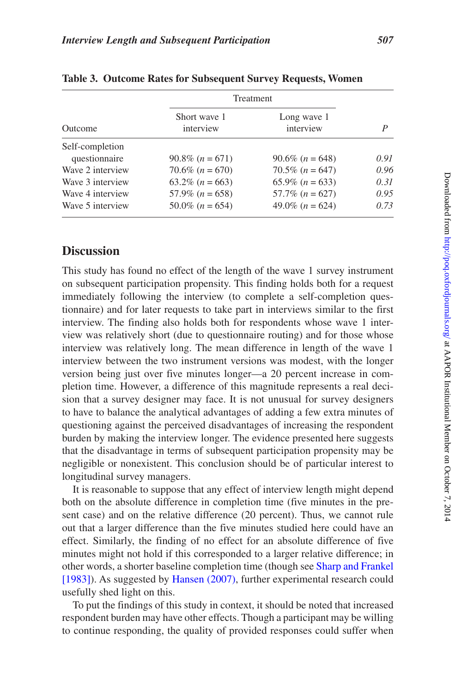|                  |                           | <b>Treatment</b>         |      |
|------------------|---------------------------|--------------------------|------|
| Outcome          | Short wave 1<br>interview | Long wave 1<br>interview | P    |
| Self-completion  |                           |                          |      |
| questionnaire    | $90.8\%$ (n = 671)        | $90.6\%$ (n = 648)       | 0.91 |
| Wave 2 interview | $70.6\%$ (n = 670)        | $70.5\%$ $(n = 647)$     | 0.96 |
| Wave 3 interview | $63.2\%$ (n = 663)        | $65.9\%$ (n = 633)       | 0.31 |
| Wave 4 interview | $57.9\%$ (n = 658)        | $57.7\%$ $(n = 627)$     | 0.95 |
| Wave 5 interview | $50.0\%$ (n = 654)        | 49.0% $(n = 624)$        | 0.73 |
|                  |                           |                          |      |

<span id="page-7-0"></span>

| Table 3. Outcome Rates for Subsequent Survey Requests, Women |  |  |  |  |  |  |  |  |  |  |
|--------------------------------------------------------------|--|--|--|--|--|--|--|--|--|--|
|--------------------------------------------------------------|--|--|--|--|--|--|--|--|--|--|

## **Discussion**

This study has found no effect of the length of the wave 1 survey instrument on subsequent participation propensity. This finding holds both for a request immediately following the interview (to complete a self-completion questionnaire) and for later requests to take part in interviews similar to the first interview. The finding also holds both for respondents whose wave 1 interview was relatively short (due to questionnaire routing) and for those whose interview was relatively long. The mean difference in length of the wave 1 interview between the two instrument versions was modest, with the longer version being just over five minutes longer—a 20 percent increase in completion time. However, a difference of this magnitude represents a real decision that a survey designer may face. It is not unusual for survey designers to have to balance the analytical advantages of adding a few extra minutes of questioning against the perceived disadvantages of increasing the respondent burden by making the interview longer. The evidence presented here suggests that the disadvantage in terms of subsequent participation propensity may be negligible or nonexistent. This conclusion should be of particular interest to longitudinal survey managers.

It is reasonable to suppose that any effect of interview length might depend both on the absolute difference in completion time (five minutes in the present case) and on the relative difference (20 percent). Thus, we cannot rule out that a larger difference than the five minutes studied here could have an effect. Similarly, the finding of no effect for an absolute difference of five minutes might not hold if this corresponded to a larger relative difference; in other words, a shorter baseline completion time (though see [Sharp and Frankel](#page-9-0) [\[1983\]\)](#page-9-0). As suggested by [Hansen \(2007\)](#page-9-16), further experimental research could usefully shed light on this.

To put the findings of this study in context, it should be noted that increased respondent burden may have other effects. Though a participant may be willing to continue responding, the quality of provided responses could suffer when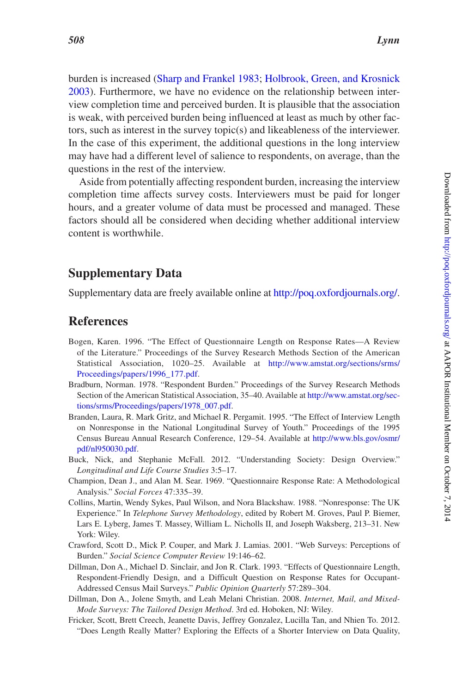burden is increased ([Sharp and Frankel 1983](#page-9-0); [Holbrook, Green, and Krosnick](#page-9-2) [2003](#page-9-2)). Furthermore, we have no evidence on the relationship between interview completion time and perceived burden. It is plausible that the association is weak, with perceived burden being influenced at least as much by other factors, such as interest in the survey topic(s) and likeableness of the interviewer. In the case of this experiment, the additional questions in the long interview may have had a different level of salience to respondents, on average, than the questions in the rest of the interview.

Aside from potentially affecting respondent burden, increasing the interview completion time affects survey costs. Interviewers must be paid for longer hours, and a greater volume of data must be processed and managed. These factors should all be considered when deciding whether additional interview content is worthwhile.

## **Supplementary Data**

Supplementary data are freely available online at [http://poq.oxfordjournals.org/.](http://poq.oxfordjournals.org/lookup/suppl/doi:10.1093/poq/nfu015/-/DC1)

#### **References**

- <span id="page-8-7"></span>Bogen, Karen. 1996. "The Effect of Questionnaire Length on Response Rates—A Review of the Literature." Proceedings of the Survey Research Methods Section of the American Statistical Association, 1020–25. Available at [http://www.amstat.org/sections/srms/](http://www.amstat.org/sections/srms/Proceedings/papers/1996_177.pdf) [Proceedings/papers/1996\\_177.pdf.](http://www.amstat.org/sections/srms/Proceedings/papers/1996_177.pdf)
- <span id="page-8-0"></span>Bradburn, Norman. 1978. "Respondent Burden." Proceedings of the Survey Research Methods Section of the American Statistical Association, 35–40. Available at [http://www.amstat.org/sec](http://www.amstat.org/sections/srms/Proceedings/papers/1978_007.pdf)[tions/srms/Proceedings/papers/1978\\_007.pdf](http://www.amstat.org/sections/srms/Proceedings/papers/1978_007.pdf).
- <span id="page-8-8"></span>Branden, Laura, R. Mark Gritz, and Michael R. Pergamit. 1995. "The Effect of Interview Length on Nonresponse in the National Longitudinal Survey of Youth." Proceedings of the 1995 Census Bureau Annual Research Conference, 129–54. Available at [http://www.bls.gov/osmr/](http://www.bls.gov/osmr/pdf/nl950030.pdf) [pdf/nl950030.pdf.](http://www.bls.gov/osmr/pdf/nl950030.pdf)
- <span id="page-8-9"></span>Buck, Nick, and Stephanie McFall. 2012. "Understanding Society: Design Overview." *Longitudinal and Life Course Studies* 3:5–17.
- <span id="page-8-3"></span>Champion, Dean J., and Alan M. Sear. 1969. "Questionnaire Response Rate: A Methodological Analysis." *Social Forces* 47:335–39.
- <span id="page-8-4"></span>Collins, Martin, Wendy Sykes, Paul Wilson, and Nora Blackshaw. 1988. "Nonresponse: The UK Experience." In *Telephone Survey Methodology*, edited by Robert M. Groves, Paul P. Biemer, Lars E. Lyberg, James T. Massey, William L. Nicholls II, and Joseph Waksberg, 213–31. New York: Wiley.
- <span id="page-8-5"></span>Crawford, Scott D., Mick P. Couper, and Mark J. Lamias. 2001. "Web Surveys: Perceptions of Burden." *Social Science Computer Review* 19:146–62.
- <span id="page-8-1"></span>Dillman, Don A., Michael D. Sinclair, and Jon R. Clark. 1993. "Effects of Questionnaire Length, Respondent-Friendly Design, and a Difficult Question on Response Rates for Occupant-Addressed Census Mail Surveys." *Public Opinion Quarterly* 57:289–304.
- <span id="page-8-2"></span>Dillman, Don A., Jolene Smyth, and Leah Melani Christian. 2008. *Internet, Mail, and Mixed-Mode Surveys: The Tailored Design Method*. 3rd ed. Hoboken, NJ: Wiley.
- <span id="page-8-6"></span>Fricker, Scott, Brett Creech, Jeanette Davis, Jeffrey Gonzalez, Lucilla Tan, and Nhien To. 2012. "Does Length Really Matter? Exploring the Effects of a Shorter Interview on Data Quality,